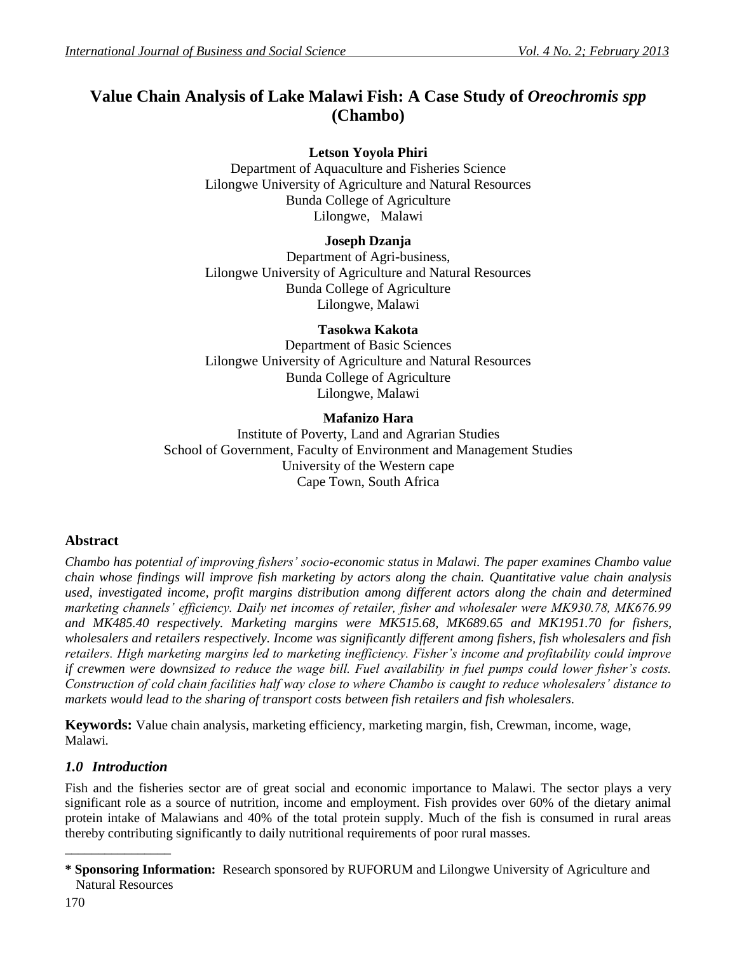# **Value Chain Analysis of Lake Malawi Fish: A Case Study of** *Oreochromis spp* **(Chambo)**

## **Letson Yoyola Phiri**

Department of Aquaculture and Fisheries Science Lilongwe University of Agriculture and Natural Resources Bunda College of Agriculture Lilongwe, Malawi

## **Joseph Dzanja**

Department of Agri-business, Lilongwe University of Agriculture and Natural Resources Bunda College of Agriculture Lilongwe, Malawi

## **Tasokwa Kakota**

Department of Basic Sciences Lilongwe University of Agriculture and Natural Resources Bunda College of Agriculture Lilongwe, Malawi

## **Mafanizo Hara**

Institute of Poverty, Land and Agrarian Studies School of Government, Faculty of Environment and Management Studies University of the Western cape Cape Town, South Africa

## **Abstract**

*Chambo has potential of improving fishers' socio-economic status in Malawi. The paper examines Chambo value chain whose findings will improve fish marketing by actors along the chain. Quantitative value chain analysis used, investigated income, profit margins distribution among different actors along the chain and determined marketing channels' efficiency. Daily net incomes of retailer, fisher and wholesaler were MK930.78, MK676.99 and MK485.40 respectively. Marketing margins were MK515.68, MK689.65 and MK1951.70 for fishers, wholesalers and retailers respectively. Income was significantly different among fishers, fish wholesalers and fish retailers. High marketing margins led to marketing inefficiency. Fisher's income and profitability could improve if crewmen were downsized to reduce the wage bill. Fuel availability in fuel pumps could lower fisher's costs. Construction of cold chain facilities half way close to where Chambo is caught to reduce wholesalers' distance to markets would lead to the sharing of transport costs between fish retailers and fish wholesalers.*

**Keywords:** Value chain analysis, marketing efficiency, marketing margin, fish, Crewman, income, wage, Malawi*.*

## *1.0 Introduction*

\_\_\_\_\_\_\_\_\_\_\_\_\_\_\_\_

Fish and the fisheries sector are of great social and economic importance to Malawi. The sector plays a very significant role as a source of nutrition, income and employment. Fish provides over 60% of the dietary animal protein intake of Malawians and 40% of the total protein supply. Much of the fish is consumed in rural areas thereby contributing significantly to daily nutritional requirements of poor rural masses.

**<sup>\*</sup> Sponsoring Information:** Research sponsored by RUFORUM and Lilongwe University of Agriculture and Natural Resources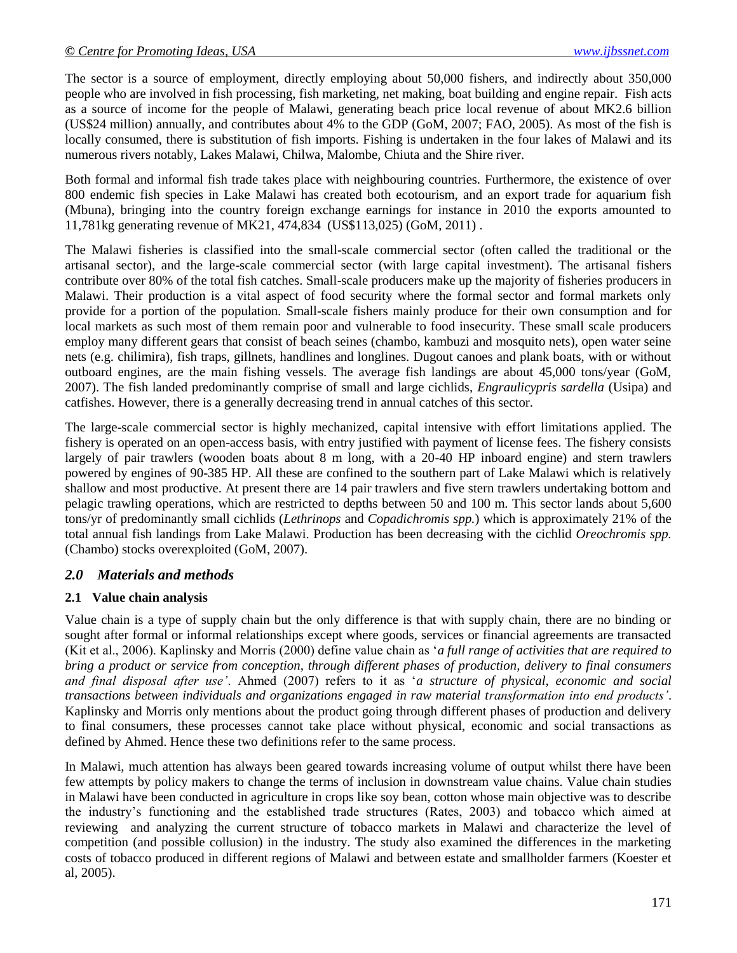The sector is a source of employment, directly employing about 50,000 fishers, and indirectly about 350,000 people who are involved in fish processing, fish marketing, net making, boat building and engine repair. Fish acts as a source of income for the people of Malawi, generating beach price local revenue of about MK2.6 billion (US\$24 million) annually, and contributes about 4% to the GDP (GoM, 2007; FAO, 2005). As most of the fish is locally consumed, there is substitution of fish imports. Fishing is undertaken in the four lakes of Malawi and its numerous rivers notably, Lakes Malawi, Chilwa, Malombe, Chiuta and the Shire river.

Both formal and informal fish trade takes place with neighbouring countries. Furthermore, the existence of over 800 endemic fish species in Lake Malawi has created both ecotourism, and an export trade for aquarium fish (Mbuna), bringing into the country foreign exchange earnings for instance in 2010 the exports amounted to 11,781kg generating revenue of MK21, 474,834 (US\$113,025) (GoM, 2011) .

The Malawi fisheries is classified into the small-scale commercial sector (often called the traditional or the artisanal sector), and the large-scale commercial sector (with large capital investment). The artisanal fishers contribute over 80% of the total fish catches. Small-scale producers make up the majority of fisheries producers in Malawi. Their production is a vital aspect of food security where the formal sector and formal markets only provide for a portion of the population. Small-scale fishers mainly produce for their own consumption and for local markets as such most of them remain poor and vulnerable to food insecurity. These small scale producers employ many different gears that consist of beach seines (chambo, kambuzi and mosquito nets), open water seine nets (e.g. chilimira), fish traps, gillnets, handlines and longlines. Dugout canoes and plank boats, with or without outboard engines, are the main fishing vessels. The average fish landings are about 45,000 tons/year (GoM, 2007). The fish landed predominantly comprise of small and large cichlids, *Engraulicypris sardella* (Usipa) and catfishes. However, there is a generally decreasing trend in annual catches of this sector.

The large-scale commercial sector is highly mechanized, capital intensive with effort limitations applied. The fishery is operated on an open-access basis, with entry justified with payment of license fees. The fishery consists largely of pair trawlers (wooden boats about 8 m long, with a 20-40 HP inboard engine) and stern trawlers powered by engines of 90-385 HP. All these are confined to the southern part of Lake Malawi which is relatively shallow and most productive. At present there are 14 pair trawlers and five stern trawlers undertaking bottom and pelagic trawling operations, which are restricted to depths between 50 and 100 m. This sector lands about 5,600 tons/yr of predominantly small cichlids (*Lethrinops* and *Copadichromis spp.*) which is approximately 21% of the total annual fish landings from Lake Malawi. Production has been decreasing with the cichlid *Oreochromis spp.*  (Chambo) stocks overexploited (GoM, 2007).

## *2.0 Materials and methods*

## **2.1 Value chain analysis**

Value chain is a type of supply chain but the only difference is that with supply chain, there are no binding or sought after formal or informal relationships except where goods, services or financial agreements are transacted (Kit et al., 2006). Kaplinsky and Morris (2000) define value chain as "*a full range of activities that are required to bring a product or service from conception, through different phases of production, delivery to final consumers and final disposal after use'*. Ahmed (2007) refers to it as "*a structure of physical, economic and social transactions between individuals and organizations engaged in raw material transformation into end products'*. Kaplinsky and Morris only mentions about the product going through different phases of production and delivery to final consumers, these processes cannot take place without physical, economic and social transactions as defined by Ahmed. Hence these two definitions refer to the same process.

In Malawi, much attention has always been geared towards increasing volume of output whilst there have been few attempts by policy makers to change the terms of inclusion in downstream value chains. Value chain studies in Malawi have been conducted in agriculture in crops like soy bean, cotton whose main objective was to describe the industry"s functioning and the established trade structures (Rates, 2003) and tobacco which aimed at reviewing and analyzing the current structure of tobacco markets in Malawi and characterize the level of competition (and possible collusion) in the industry. The study also examined the differences in the marketing costs of tobacco produced in different regions of Malawi and between estate and smallholder farmers (Koester et al, 2005).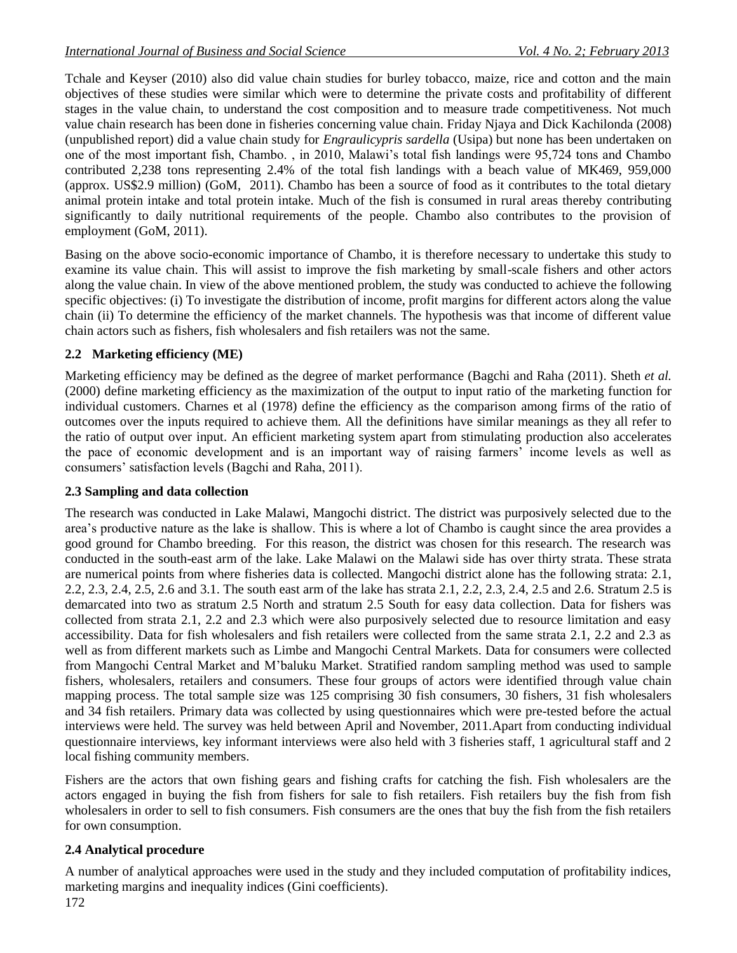Tchale and Keyser (2010) also did value chain studies for burley tobacco, maize, rice and cotton and the main objectives of these studies were similar which were to determine the private costs and profitability of different stages in the value chain, to understand the cost composition and to measure trade competitiveness. Not much value chain research has been done in fisheries concerning value chain. Friday Njaya and Dick Kachilonda (2008) (unpublished report) did a value chain study for *Engraulicypris sardella* (Usipa) but none has been undertaken on one of the most important fish, Chambo. , in 2010, Malawi"s total fish landings were 95,724 tons and Chambo contributed 2,238 tons representing 2.4% of the total fish landings with a beach value of MK469, 959,000 (approx. US\$2.9 million) (GoM, 2011). Chambo has been a source of food as it contributes to the total dietary animal protein intake and total protein intake. Much of the fish is consumed in rural areas thereby contributing significantly to daily nutritional requirements of the people. Chambo also contributes to the provision of employment (GoM, 2011).

Basing on the above socio-economic importance of Chambo, it is therefore necessary to undertake this study to examine its value chain. This will assist to improve the fish marketing by small-scale fishers and other actors along the value chain. In view of the above mentioned problem, the study was conducted to achieve the following specific objectives: (i) To investigate the distribution of income, profit margins for different actors along the value chain (ii) To determine the efficiency of the market channels. The hypothesis was that income of different value chain actors such as fishers, fish wholesalers and fish retailers was not the same.

## **2.2 Marketing efficiency (ME)**

Marketing efficiency may be defined as the degree of market performance (Bagchi and Raha (2011). Sheth *et al.* (2000) define marketing efficiency as the maximization of the output to input ratio of the marketing function for individual customers. Charnes et al (1978) define the efficiency as the comparison among firms of the ratio of outcomes over the inputs required to achieve them. All the definitions have similar meanings as they all refer to the ratio of output over input. An efficient marketing system apart from stimulating production also accelerates the pace of economic development and is an important way of raising farmers" income levels as well as consumers" satisfaction levels (Bagchi and Raha, 2011).

## **2.3 Sampling and data collection**

The research was conducted in Lake Malawi, Mangochi district. The district was purposively selected due to the area"s productive nature as the lake is shallow. This is where a lot of Chambo is caught since the area provides a good ground for Chambo breeding. For this reason, the district was chosen for this research. The research was conducted in the south-east arm of the lake. Lake Malawi on the Malawi side has over thirty strata. These strata are numerical points from where fisheries data is collected. Mangochi district alone has the following strata: 2.1, 2.2, 2.3, 2.4, 2.5, 2.6 and 3.1. The south east arm of the lake has strata 2.1, 2.2, 2.3, 2.4, 2.5 and 2.6. Stratum 2.5 is demarcated into two as stratum 2.5 North and stratum 2.5 South for easy data collection. Data for fishers was collected from strata 2.1, 2.2 and 2.3 which were also purposively selected due to resource limitation and easy accessibility. Data for fish wholesalers and fish retailers were collected from the same strata 2.1, 2.2 and 2.3 as well as from different markets such as Limbe and Mangochi Central Markets. Data for consumers were collected from Mangochi Central Market and M"baluku Market. Stratified random sampling method was used to sample fishers, wholesalers, retailers and consumers. These four groups of actors were identified through value chain mapping process. The total sample size was 125 comprising 30 fish consumers, 30 fishers, 31 fish wholesalers and 34 fish retailers. Primary data was collected by using questionnaires which were pre-tested before the actual interviews were held. The survey was held between April and November, 2011.Apart from conducting individual questionnaire interviews, key informant interviews were also held with 3 fisheries staff, 1 agricultural staff and 2 local fishing community members.

Fishers are the actors that own fishing gears and fishing crafts for catching the fish. Fish wholesalers are the actors engaged in buying the fish from fishers for sale to fish retailers. Fish retailers buy the fish from fish wholesalers in order to sell to fish consumers. Fish consumers are the ones that buy the fish from the fish retailers for own consumption.

## **2.4 Analytical procedure**

A number of analytical approaches were used in the study and they included computation of profitability indices, marketing margins and inequality indices (Gini coefficients).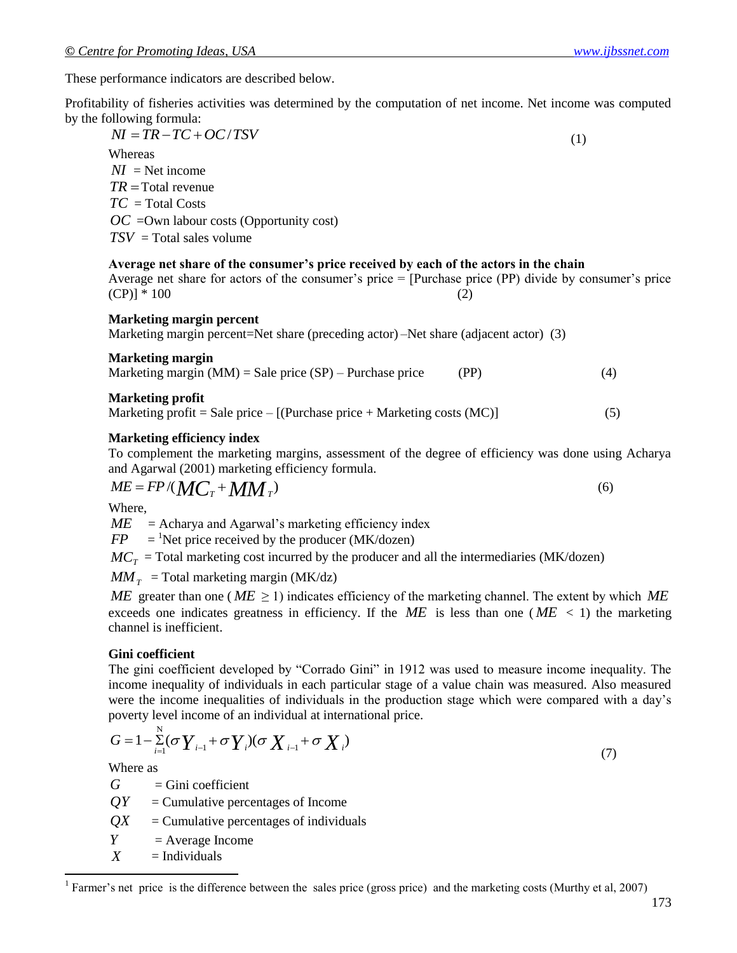These performance indicators are described below.

Profitability of fisheries activities was determined by the computation of net income. Net income was computed by the following formula:

 $\overline{NI} = \overline{TR} - \overline{TC} + \overline{OC}/\overline{TSV}$  (1) **Whereas**  $NI =$  Net income *TR* Total revenue *TC* = Total Costs *OC* = Own labour costs (Opportunity cost) *TSV* = Total sales volume

#### **Average net share of the consumer's price received by each of the actors in the chain**

Average net share for actors of the consumer's price  $=$  [Purchase price (PP) divide by consumer's price  $(CP)$ ] \* 100 (2)

#### **Marketing margin percent**

Marketing margin percent=Net share (preceding actor) –Net share (adjacent actor) (3)

| <b>Marketing margin</b>                                    |      |  |
|------------------------------------------------------------|------|--|
| Marketing margin (MM) = Sale price $(SP)$ – Purchase price | (PP) |  |

#### **Marketing profit**

Marketing profit = Sale price –  $[(Purchase price + Marketing costs (MC)]$  (5)

### **Marketing efficiency index**

To complement the marketing margins, assessment of the degree of efficiency was done using Acharya and Agarwal (2001) marketing efficiency formula.

$$
ME = FP/(MCT + MMT)
$$
\n(6)

Where,

 $ME =$  Acharya and Agarwal's marketing efficiency index

 $FP$  $=$ <sup>1</sup>Net price received by the producer (MK/dozen)

 $MC_T$  = Total marketing cost incurred by the producer and all the intermediaries (MK/dozen)

 $MM_T$  = Total marketing margin (MK/dz)

*ME* greater than one ( $ME \ge 1$ ) indicates efficiency of the marketing channel. The extent by which  $ME$ exceeds one indicates greatness in efficiency. If the  $ME$  is less than one ( $ME < 1$ ) the marketing channel is inefficient.

#### **Gini coefficient**

The gini coefficient developed by "Corrado Gini" in 1912 was used to measure income inequality. The income inequality of individuals in each particular stage of a value chain was measured. Also measured were the income inequalities of individuals in the production stage which were compared with a day"s poverty level income of an individual at international price.

$$
G = 1 - \sum_{i=1}^{N} (\sigma Y_{i-1} + \sigma Y_i)(\sigma X_{i-1} + \sigma X_i)
$$
\n
$$
(7)
$$

Where as

 $\overline{\phantom{a}}$ 

*G*  $=$  Gini coefficient

 $QY$  = Cumulative percentages of Income

*QX* = Cumulative percentages of individuals

 $Y = Average Income$ 

 $X = Individuals$ 

<sup>1</sup> Farmer's net price is the difference between the sales price (gross price) and the marketing costs (Murthy et al, 2007)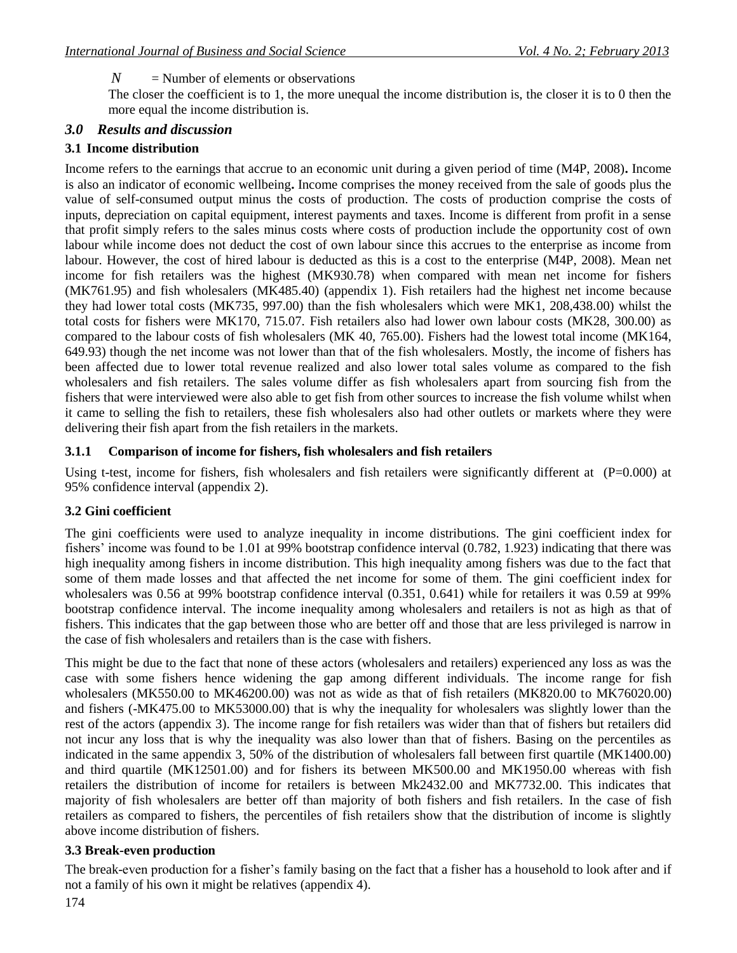The closer the coefficient is to 1, the more unequal the income distribution is, the closer it is to 0 then the more equal the income distribution is.

### *3.0 Results and discussion*

### **3.1 Income distribution**

*N* = Number of elements or observations<br>The close the coefficient is to 1, the more use more coefficient is to 1, the more use of the coefficient is to the more used the more coefficient is to the more distribution is.<br>3. Income refers to the earnings that accrue to an economic unit during a given period of time (M4P, 2008)**.** Income is also an indicator of economic wellbeing**.** Income comprises the money received from the sale of goods plus the value of self-consumed output minus the costs of production. The costs of production comprise the costs of inputs, depreciation on capital equipment, interest payments and taxes. Income is different from profit in a sense that profit simply refers to the sales minus costs where costs of production include the opportunity cost of own labour while income does not deduct the cost of own labour since this accrues to the enterprise as income from labour. However, the cost of hired labour is deducted as this is a cost to the enterprise (M4P, 2008). Mean net income for fish retailers was the highest (MK930.78) when compared with mean net income for fishers (MK761.95) and fish wholesalers (MK485.40) (appendix 1). Fish retailers had the highest net income because they had lower total costs (MK735, 997.00) than the fish wholesalers which were MK1, 208,438.00) whilst the total costs for fishers were MK170, 715.07. Fish retailers also had lower own labour costs (MK28, 300.00) as compared to the labour costs of fish wholesalers (MK 40, 765.00). Fishers had the lowest total income (MK164, 649.93) though the net income was not lower than that of the fish wholesalers. Mostly, the income of fishers has been affected due to lower total revenue realized and also lower total sales volume as compared to the fish wholesalers and fish retailers. The sales volume differ as fish wholesalers apart from sourcing fish from the fishers that were interviewed were also able to get fish from other sources to increase the fish volume whilst when it came to selling the fish to retailers, these fish wholesalers also had other outlets or markets where they were delivering their fish apart from the fish retailers in the markets. Ì

#### **3.1.1 Comparison of income for fishers, fish wholesalers and fish retailers**

Using t-test, income for fishers, fish wholesalers and fish retailers were significantly different at  $(P=0.000)$  at 95% confidence interval (appendix 2).

#### **3.2 Gini coefficient**

The gini coefficients were used to analyze inequality in income distributions. The gini coefficient index for fishers' income was found to be 1.01 at 99% bootstrap confidence interval (0.782, 1.923) indicating that there was high inequality among fishers in income distribution. This high inequality among fishers was due to the fact that some of them made losses and that affected the net income for some of them. The gini coefficient index for wholesalers was 0.56 at 99% bootstrap confidence interval (0.351, 0.641) while for retailers it was 0.59 at 99% bootstrap confidence interval. The income inequality among wholesalers and retailers is not as high as that of fishers. This indicates that the gap between those who are better off and those that are less privileged is narrow in the case of fish wholesalers and retailers than is the case with fishers.

This might be due to the fact that none of these actors (wholesalers and retailers) experienced any loss as was the case with some fishers hence widening the gap among different individuals. The income range for fish wholesalers (MK550.00 to MK46200.00) was not as wide as that of fish retailers (MK820.00 to MK76020.00) and fishers (-MK475.00 to MK53000.00) that is why the inequality for wholesalers was slightly lower than the rest of the actors (appendix 3). The income range for fish retailers was wider than that of fishers but retailers did not incur any loss that is why the inequality was also lower than that of fishers. Basing on the percentiles as indicated in the same appendix 3, 50% of the distribution of wholesalers fall between first quartile (MK1400.00) and third quartile (MK12501.00) and for fishers its between MK500.00 and MK1950.00 whereas with fish retailers the distribution of income for retailers is between Mk2432.00 and MK7732.00. This indicates that majority of fish wholesalers are better off than majority of both fishers and fish retailers. In the case of fish retailers as compared to fishers, the percentiles of fish retailers show that the distribution of income is slightly above income distribution of fishers.

#### **3.3 Break-even production**

The break-even production for a fisher"s family basing on the fact that a fisher has a household to look after and if not a family of his own it might be relatives (appendix 4).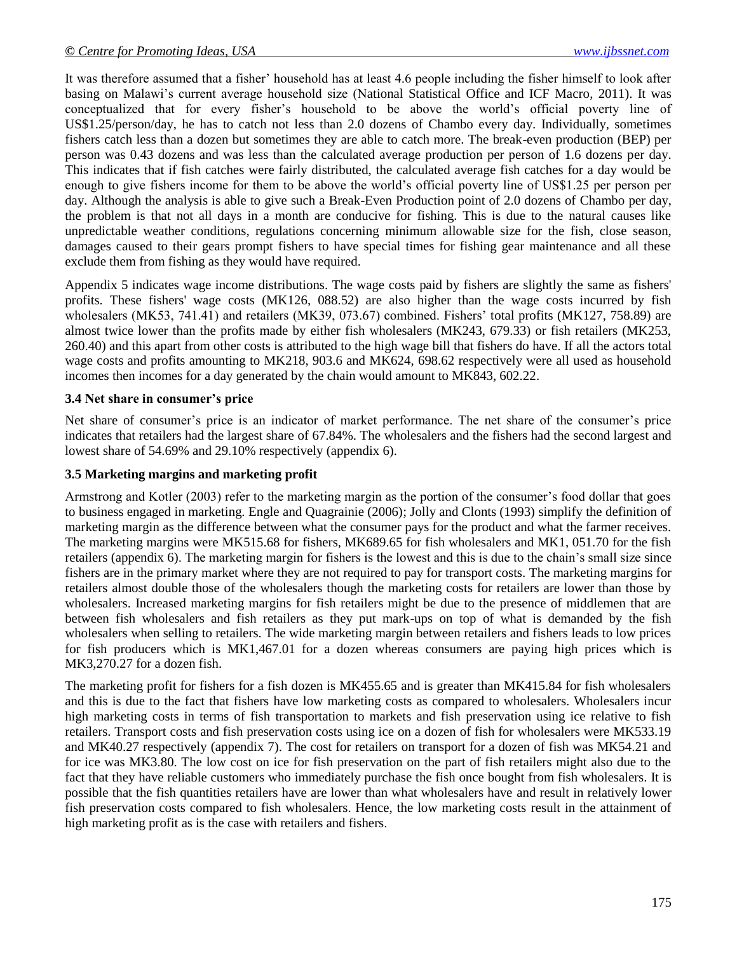It was therefore assumed that a fisher" household has at least 4.6 people including the fisher himself to look after basing on Malawi"s current average household size (National Statistical Office and ICF Macro, 2011). It was conceptualized that for every fisher"s household to be above the world"s official poverty line of US\$1.25/person/day, he has to catch not less than 2.0 dozens of Chambo every day. Individually, sometimes fishers catch less than a dozen but sometimes they are able to catch more. The break-even production (BEP) per person was 0.43 dozens and was less than the calculated average production per person of 1.6 dozens per day. This indicates that if fish catches were fairly distributed, the calculated average fish catches for a day would be enough to give fishers income for them to be above the world"s official poverty line of US\$1.25 per person per day. Although the analysis is able to give such a Break-Even Production point of 2.0 dozens of Chambo per day, the problem is that not all days in a month are conducive for fishing. This is due to the natural causes like unpredictable weather conditions, regulations concerning minimum allowable size for the fish, close season, damages caused to their gears prompt fishers to have special times for fishing gear maintenance and all these exclude them from fishing as they would have required.

Appendix 5 indicates wage income distributions. The wage costs paid by fishers are slightly the same as fishers' profits. These fishers' wage costs (MK126, 088.52) are also higher than the wage costs incurred by fish wholesalers (MK53, 741.41) and retailers (MK39, 073.67) combined. Fishers' total profits (MK127, 758.89) are almost twice lower than the profits made by either fish wholesalers (MK243, 679.33) or fish retailers (MK253, 260.40) and this apart from other costs is attributed to the high wage bill that fishers do have. If all the actors total wage costs and profits amounting to MK218, 903.6 and MK624, 698.62 respectively were all used as household incomes then incomes for a day generated by the chain would amount to MK843, 602.22.

#### **3.4 Net share in consumer's price**

Net share of consumer's price is an indicator of market performance. The net share of the consumer's price indicates that retailers had the largest share of 67.84%. The wholesalers and the fishers had the second largest and lowest share of 54.69% and 29.10% respectively (appendix 6).

#### **3.5 Marketing margins and marketing profit**

Armstrong and Kotler (2003) refer to the marketing margin as the portion of the consumer's food dollar that goes to business engaged in marketing. Engle and Quagrainie (2006); Jolly and Clonts (1993) simplify the definition of marketing margin as the difference between what the consumer pays for the product and what the farmer receives. The marketing margins were MK515.68 for fishers, MK689.65 for fish wholesalers and MK1, 051.70 for the fish retailers (appendix 6). The marketing margin for fishers is the lowest and this is due to the chain"s small size since fishers are in the primary market where they are not required to pay for transport costs. The marketing margins for retailers almost double those of the wholesalers though the marketing costs for retailers are lower than those by wholesalers. Increased marketing margins for fish retailers might be due to the presence of middlemen that are between fish wholesalers and fish retailers as they put mark-ups on top of what is demanded by the fish wholesalers when selling to retailers. The wide marketing margin between retailers and fishers leads to low prices for fish producers which is MK1,467.01 for a dozen whereas consumers are paying high prices which is MK3,270.27 for a dozen fish.

The marketing profit for fishers for a fish dozen is MK455.65 and is greater than MK415.84 for fish wholesalers and this is due to the fact that fishers have low marketing costs as compared to wholesalers. Wholesalers incur high marketing costs in terms of fish transportation to markets and fish preservation using ice relative to fish retailers. Transport costs and fish preservation costs using ice on a dozen of fish for wholesalers were MK533.19 and MK40.27 respectively (appendix 7). The cost for retailers on transport for a dozen of fish was MK54.21 and for ice was MK3.80. The low cost on ice for fish preservation on the part of fish retailers might also due to the fact that they have reliable customers who immediately purchase the fish once bought from fish wholesalers. It is possible that the fish quantities retailers have are lower than what wholesalers have and result in relatively lower fish preservation costs compared to fish wholesalers. Hence, the low marketing costs result in the attainment of high marketing profit as is the case with retailers and fishers.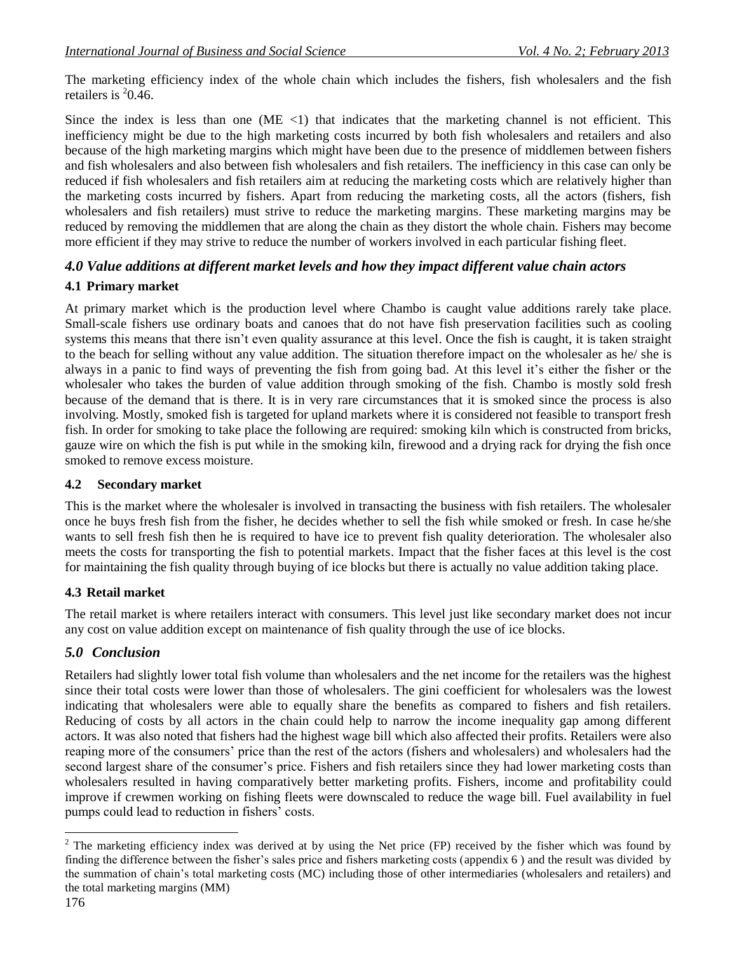The marketing efficiency index of the whole chain which includes the fishers, fish wholesalers and the fish retailers is  $20.46$ .

Since the index is less than one (ME  $\langle$ 1) that indicates that the marketing channel is not efficient. This inefficiency might be due to the high marketing costs incurred by both fish wholesalers and retailers and also because of the high marketing margins which might have been due to the presence of middlemen between fishers and fish wholesalers and also between fish wholesalers and fish retailers. The inefficiency in this case can only be reduced if fish wholesalers and fish retailers aim at reducing the marketing costs which are relatively higher than the marketing costs incurred by fishers. Apart from reducing the marketing costs, all the actors (fishers, fish wholesalers and fish retailers) must strive to reduce the marketing margins. These marketing margins may be reduced by removing the middlemen that are along the chain as they distort the whole chain. Fishers may become more efficient if they may strive to reduce the number of workers involved in each particular fishing fleet.

## *4.0 Value additions at different market levels and how they impact different value chain actors*

### **4.1 Primary market**

At primary market which is the production level where Chambo is caught value additions rarely take place. Small-scale fishers use ordinary boats and canoes that do not have fish preservation facilities such as cooling systems this means that there isn't even quality assurance at this level. Once the fish is caught, it is taken straight to the beach for selling without any value addition. The situation therefore impact on the wholesaler as he/ she is always in a panic to find ways of preventing the fish from going bad. At this level it's either the fisher or the wholesaler who takes the burden of value addition through smoking of the fish. Chambo is mostly sold fresh because of the demand that is there. It is in very rare circumstances that it is smoked since the process is also involving. Mostly, smoked fish is targeted for upland markets where it is considered not feasible to transport fresh fish. In order for smoking to take place the following are required: smoking kiln which is constructed from bricks, gauze wire on which the fish is put while in the smoking kiln, firewood and a drying rack for drying the fish once smoked to remove excess moisture.

### **4.2 Secondary market**

This is the market where the wholesaler is involved in transacting the business with fish retailers. The wholesaler once he buys fresh fish from the fisher, he decides whether to sell the fish while smoked or fresh. In case he/she wants to sell fresh fish then he is required to have ice to prevent fish quality deterioration. The wholesaler also meets the costs for transporting the fish to potential markets. Impact that the fisher faces at this level is the cost for maintaining the fish quality through buying of ice blocks but there is actually no value addition taking place.

## **4.3 Retail market**

The retail market is where retailers interact with consumers. This level just like secondary market does not incur any cost on value addition except on maintenance of fish quality through the use of ice blocks.

## *5.0 Conclusion*

Retailers had slightly lower total fish volume than wholesalers and the net income for the retailers was the highest since their total costs were lower than those of wholesalers. The gini coefficient for wholesalers was the lowest indicating that wholesalers were able to equally share the benefits as compared to fishers and fish retailers. Reducing of costs by all actors in the chain could help to narrow the income inequality gap among different actors. It was also noted that fishers had the highest wage bill which also affected their profits. Retailers were also reaping more of the consumers' price than the rest of the actors (fishers and wholesalers) and wholesalers had the second largest share of the consumer's price. Fishers and fish retailers since they had lower marketing costs than wholesalers resulted in having comparatively better marketing profits. Fishers, income and profitability could improve if crewmen working on fishing fleets were downscaled to reduce the wage bill. Fuel availability in fuel pumps could lead to reduction in fishers' costs.

 $\overline{\phantom{a}}$ 

 $2$  The marketing efficiency index was derived at by using the Net price (FP) received by the fisher which was found by finding the difference between the fisher"s sales price and fishers marketing costs (appendix 6 ) and the result was divided by the summation of chain"s total marketing costs (MC) including those of other intermediaries (wholesalers and retailers) and the total marketing margins (MM)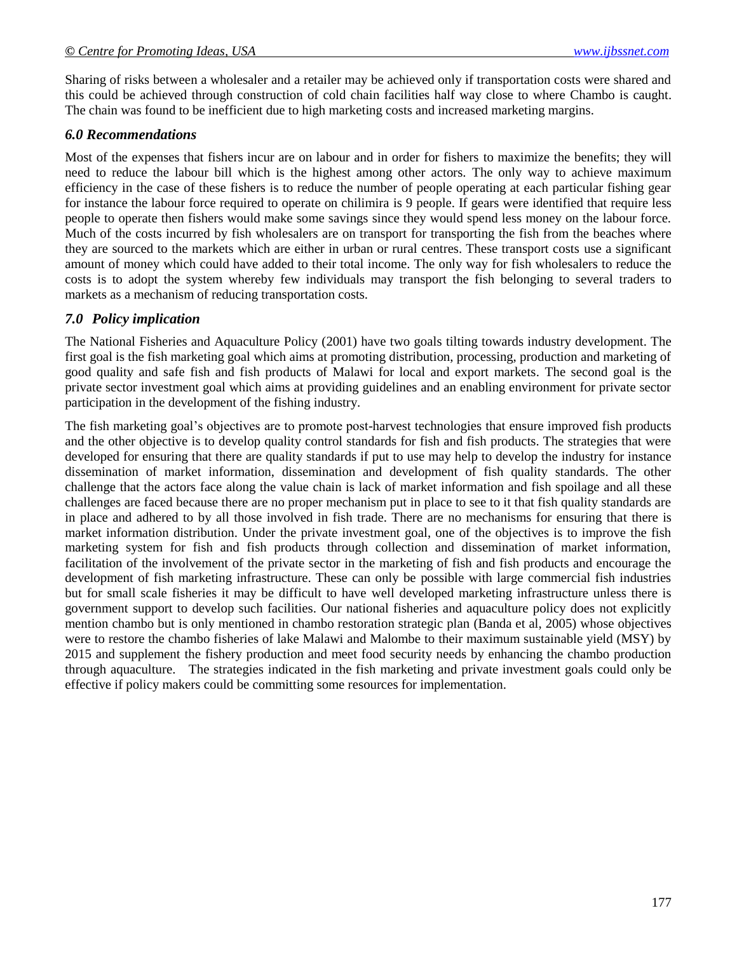Sharing of risks between a wholesaler and a retailer may be achieved only if transportation costs were shared and this could be achieved through construction of cold chain facilities half way close to where Chambo is caught. The chain was found to be inefficient due to high marketing costs and increased marketing margins.

#### *6.0 Recommendations*

Most of the expenses that fishers incur are on labour and in order for fishers to maximize the benefits; they will need to reduce the labour bill which is the highest among other actors*.* The only way to achieve maximum efficiency in the case of these fishers is to reduce the number of people operating at each particular fishing gear for instance the labour force required to operate on chilimira is 9 people. If gears were identified that require less people to operate then fishers would make some savings since they would spend less money on the labour force. Much of the costs incurred by fish wholesalers are on transport for transporting the fish from the beaches where they are sourced to the markets which are either in urban or rural centres. These transport costs use a significant amount of money which could have added to their total income. The only way for fish wholesalers to reduce the costs is to adopt the system whereby few individuals may transport the fish belonging to several traders to markets as a mechanism of reducing transportation costs.

#### *7.0 Policy implication*

The National Fisheries and Aquaculture Policy (2001) have two goals tilting towards industry development. The first goal is the fish marketing goal which aims at promoting distribution, processing, production and marketing of good quality and safe fish and fish products of Malawi for local and export markets. The second goal is the private sector investment goal which aims at providing guidelines and an enabling environment for private sector participation in the development of the fishing industry.

The fish marketing goal"s objectives are to promote post-harvest technologies that ensure improved fish products and the other objective is to develop quality control standards for fish and fish products. The strategies that were developed for ensuring that there are quality standards if put to use may help to develop the industry for instance dissemination of market information, dissemination and development of fish quality standards. The other challenge that the actors face along the value chain is lack of market information and fish spoilage and all these challenges are faced because there are no proper mechanism put in place to see to it that fish quality standards are in place and adhered to by all those involved in fish trade. There are no mechanisms for ensuring that there is market information distribution. Under the private investment goal, one of the objectives is to improve the fish marketing system for fish and fish products through collection and dissemination of market information, facilitation of the involvement of the private sector in the marketing of fish and fish products and encourage the development of fish marketing infrastructure. These can only be possible with large commercial fish industries but for small scale fisheries it may be difficult to have well developed marketing infrastructure unless there is government support to develop such facilities. Our national fisheries and aquaculture policy does not explicitly mention chambo but is only mentioned in chambo restoration strategic plan (Banda et al, 2005) whose objectives were to restore the chambo fisheries of lake Malawi and Malombe to their maximum sustainable yield (MSY) by 2015 and supplement the fishery production and meet food security needs by enhancing the chambo production through aquaculture. The strategies indicated in the fish marketing and private investment goals could only be effective if policy makers could be committing some resources for implementation.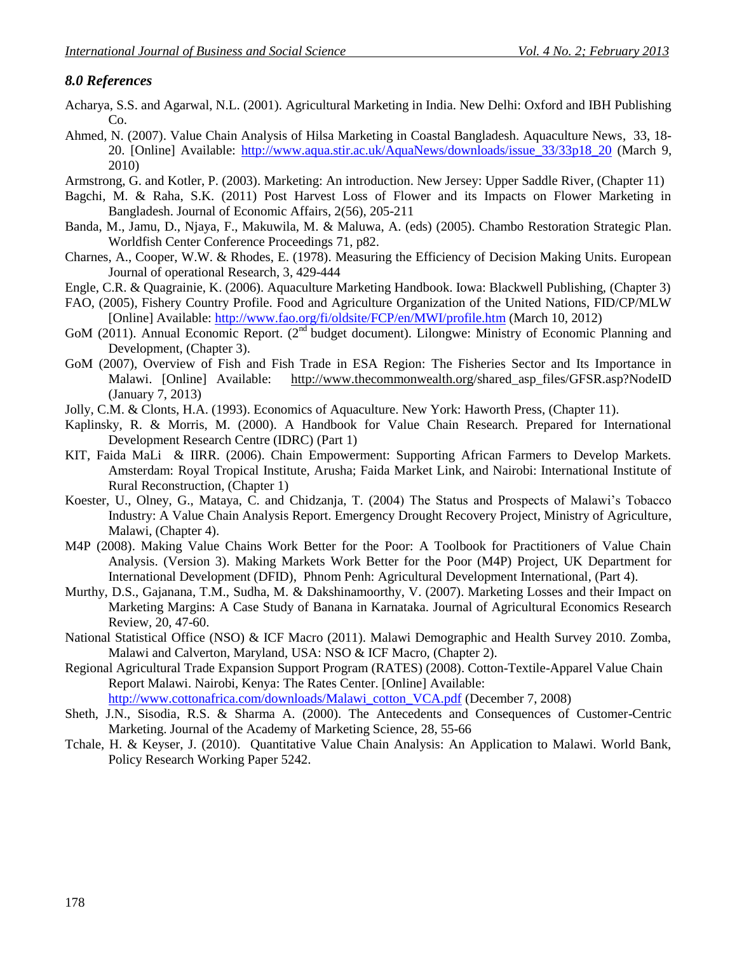## *8.0 References*

- Acharya, S.S. and Agarwal, N.L. (2001). Agricultural Marketing in India. New Delhi: Oxford and IBH Publishing Co.
- Ahmed, N. (2007). Value Chain Analysis of Hilsa Marketing in Coastal Bangladesh. Aquaculture News, 33, 18- 20. [Online] Available: [http://www.aqua.stir.ac.uk/AquaNews/downloads/issue\\_33/33p18\\_20](http://www.aqua.stir.ac.uk/AquaNews/downloads/issue_33/33p18_20) (March 9, 2010)
- Armstrong, G. and Kotler, P. (2003). Marketing: An introduction. New Jersey: Upper Saddle River, (Chapter 11)
- Bagchi, M. & Raha, S.K. (2011) Post Harvest Loss of Flower and its Impacts on Flower Marketing in Bangladesh. Journal of Economic Affairs, 2(56), 205-211
- Banda, M., Jamu, D., Njaya, F., Makuwila, M. & Maluwa, A. (eds) (2005). Chambo Restoration Strategic Plan. Worldfish Center Conference Proceedings 71, p82.
- Charnes, A., Cooper, W.W. & Rhodes, E. (1978). Measuring the Efficiency of Decision Making Units. European Journal of operational Research, 3, 429-444
- Engle, C.R. & Quagrainie, K. (2006). Aquaculture Marketing Handbook. Iowa: Blackwell Publishing, (Chapter 3)
- FAO, (2005), Fishery Country Profile. Food and Agriculture Organization of the United Nations, FID/CP/MLW [Online] Available: <http://www.fao.org/fi/oldsite/FCP/en/MWI/profile.htm> (March 10, 2012)
- GoM (2011). Annual Economic Report. (2<sup>nd</sup> budget document). Lilongwe: Ministry of Economic Planning and Development, (Chapter 3).
- GoM (2007), Overview of Fish and Fish Trade in ESA Region: The Fisheries Sector and Its Importance in Malawi. [Online] Available: <http://www.thecommonwealth.org/>shared\_asp\_files/GFSR.asp?NodeID (January 7, 2013)
- Jolly, C.M. & Clonts, H.A. (1993). Economics of Aquaculture. New York: Haworth Press, (Chapter 11).
- Kaplinsky, R. & Morris, M. (2000). A Handbook for Value Chain Research. Prepared for International Development Research Centre (IDRC) (Part 1)
- KIT, Faida MaLi & IIRR. (2006). Chain Empowerment: Supporting African Farmers to Develop Markets. Amsterdam: Royal Tropical Institute, Arusha; Faida Market Link, and Nairobi: International Institute of Rural Reconstruction, (Chapter 1)
- Koester, U., Olney, G., Mataya, C. and Chidzanja, T. (2004) The Status and Prospects of Malawi"s Tobacco Industry: A Value Chain Analysis Report. Emergency Drought Recovery Project, Ministry of Agriculture, Malawi, (Chapter 4).
- M4P (2008). Making Value Chains Work Better for the Poor: A Toolbook for Practitioners of Value Chain Analysis. (Version 3). Making Markets Work Better for the Poor (M4P) Project, UK Department for International Development (DFID), Phnom Penh: Agricultural Development International, (Part 4).
- Murthy, D.S., Gajanana, T.M., Sudha, M. & Dakshinamoorthy, V. (2007). Marketing Losses and their Impact on Marketing Margins: A Case Study of Banana in Karnataka. Journal of Agricultural Economics Research Review*,* 20, 47-60.
- National Statistical Office (NSO) & ICF Macro (2011). Malawi Demographic and Health Survey 2010. Zomba, Malawi and Calverton, Maryland, USA: NSO & ICF Macro, (Chapter 2).
- Regional Agricultural Trade Expansion Support Program (RATES) (2008). Cotton-Textile-Apparel Value Chain Report Malawi. Nairobi, Kenya: The Rates Center. [Online] Available: [http://www.cottonafrica.com/downloads/Malawi\\_cotton\\_VCA.pdf](http://www.cottonafrica.com/downloads/Malawi_cotton_VCA.pdf) (December 7, 2008)
- Sheth, J.N., Sisodia, R.S. & Sharma A. (2000). The Antecedents and Consequences of Customer-Centric Marketing. Journal of the Academy of Marketing Science, 28, 55-66
- Tchale, H. & Keyser, J. (2010). Quantitative Value Chain Analysis: An Application to Malawi. World Bank, Policy Research Working Paper 5242.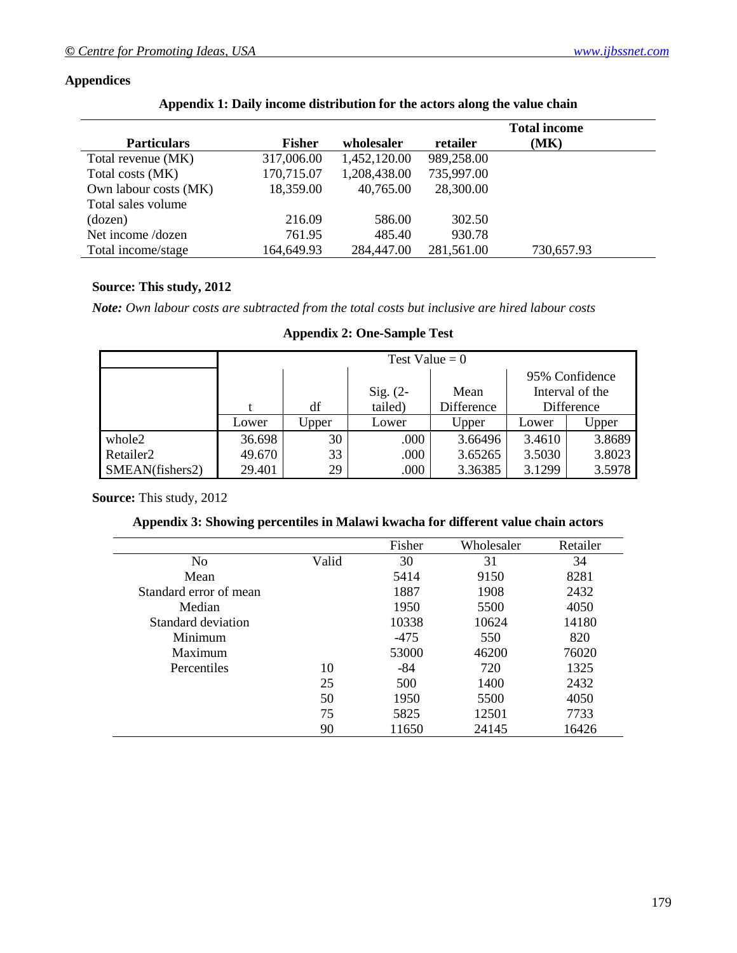### **Appendices**

|  |  | Appendix 1: Daily income distribution for the actors along the value chain |  |
|--|--|----------------------------------------------------------------------------|--|
|  |  |                                                                            |  |

|                       |               |              |            | <b>Total income</b> |  |
|-----------------------|---------------|--------------|------------|---------------------|--|
| <b>Particulars</b>    | <b>Fisher</b> | wholesaler   | retailer   | (MK)                |  |
| Total revenue (MK)    | 317,006.00    | 1,452,120.00 | 989,258.00 |                     |  |
| Total costs (MK)      | 170,715.07    | 1,208,438.00 | 735,997.00 |                     |  |
| Own labour costs (MK) | 18,359.00     | 40,765.00    | 28,300.00  |                     |  |
| Total sales volume    |               |              |            |                     |  |
| (dozen)               | 216.09        | 586.00       | 302.50     |                     |  |
| Net income /dozen     | 761.95        | 485.40       | 930.78     |                     |  |
| Total income/stage    | 164,649.93    | 284,447.00   | 281,561.00 | 730,657.93          |  |

### **Source: This study, 2012**

*Note: Own labour costs are subtracted from the total costs but inclusive are hired labour costs*

|                       |        | Test Value = $0$ |            |                |        |                 |
|-----------------------|--------|------------------|------------|----------------|--------|-----------------|
|                       |        |                  |            | 95% Confidence |        |                 |
|                       |        |                  | $Sig. (2-$ | Mean           |        | Interval of the |
|                       |        | df               | tailed)    | Difference     |        | Difference      |
|                       | Lower  | Upper            | Lower      | Upper          | Lower  | Upper           |
| whole2                | 36.698 | 30               | .000       | 3.66496        | 3.4610 | 3.8689          |
| Retailer <sub>2</sub> | 49.670 | 33               | .000       | 3.65265        | 3.5030 | 3.8023          |
| SMEAN(fishers2)       | 29.401 | 29               | .000       | 3.36385        | 3.1299 | 3.5978          |

## **Appendix 2: One-Sample Test**

**Source:** This study, 2012

#### **Appendix 3: Showing percentiles in Malawi kwacha for different value chain actors**

|                        |       | Fisher | Wholesaler | Retailer |
|------------------------|-------|--------|------------|----------|
| N <sub>0</sub>         | Valid | 30     | 31         | 34       |
| Mean                   |       | 5414   | 9150       | 8281     |
| Standard error of mean |       | 1887   | 1908       | 2432     |
| Median                 |       | 1950   | 5500       | 4050     |
| Standard deviation     |       | 10338  | 10624      | 14180    |
| Minimum                |       | $-475$ | 550        | 820      |
| Maximum                |       | 53000  | 46200      | 76020    |
| Percentiles            | 10    | -84    | 720        | 1325     |
|                        | 25    | 500    | 1400       | 2432     |
|                        | 50    | 1950   | 5500       | 4050     |
|                        | 75    | 5825   | 12501      | 7733     |
|                        | 90    | 11650  | 24145      | 16426    |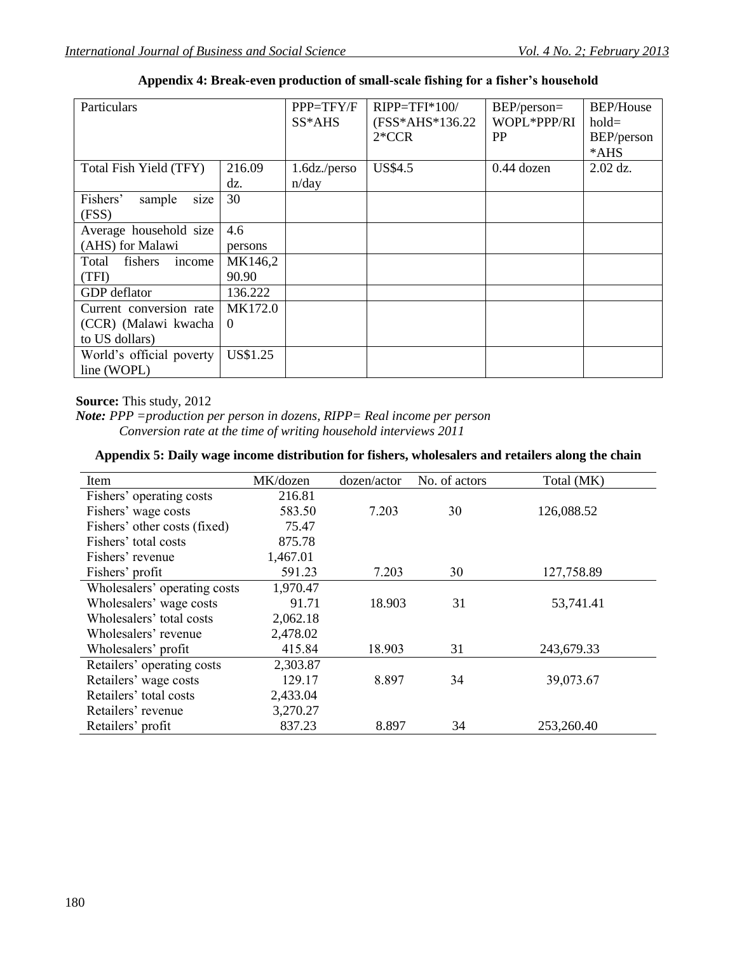| Particulars                |          | PPP=TFY/F       | $RIPP = TFI*100/$ | BEP/person=<br>WOPL*PPP/RI | <b>BEP/House</b> |
|----------------------------|----------|-----------------|-------------------|----------------------------|------------------|
|                            |          | SS*AHS          | (FSS*AHS*136.22)  |                            | $hold=$          |
|                            |          |                 | $2*CCR$           | <b>PP</b>                  | BEP/person       |
|                            |          |                 |                   |                            | *AHS             |
| Total Fish Yield (TFY)     | 216.09   | $1.6dz$ ./perso | <b>US\$4.5</b>    | $0.44$ dozen               | $2.02$ dz.       |
|                            | dz.      | n/day           |                   |                            |                  |
| Fishers'<br>sample<br>size | 30       |                 |                   |                            |                  |
| (FSS)                      |          |                 |                   |                            |                  |
| Average household size     | 4.6      |                 |                   |                            |                  |
| (AHS) for Malawi           | persons  |                 |                   |                            |                  |
| fishers<br>Total<br>income | MK146,2  |                 |                   |                            |                  |
| (TFI)                      | 90.90    |                 |                   |                            |                  |
| GDP deflator               | 136.222  |                 |                   |                            |                  |
| Current conversion rate    | MK172.0  |                 |                   |                            |                  |
| (CCR) (Malawi kwacha       | $\theta$ |                 |                   |                            |                  |
| to US dollars)             |          |                 |                   |                            |                  |
| World's official poverty   | US\$1.25 |                 |                   |                            |                  |
| line (WOPL)                |          |                 |                   |                            |                  |

**Appendix 4: Break-even production of small-scale fishing for a fisher's household**

**Source:** This study, 2012

*Note: PPP =production per person in dozens, RIPP= Real income per person Conversion rate at the time of writing household interviews 2011* 

#### **Appendix 5: Daily wage income distribution for fishers, wholesalers and retailers along the chain**

| Item                         | MK/dozen | dozen/actor | No. of actors | Total (MK) |
|------------------------------|----------|-------------|---------------|------------|
| Fishers' operating costs     | 216.81   |             |               |            |
| Fishers' wage costs          | 583.50   | 7.203       | 30            | 126,088.52 |
| Fishers' other costs (fixed) | 75.47    |             |               |            |
| Fishers' total costs         | 875.78   |             |               |            |
| Fishers' revenue             | 1,467.01 |             |               |            |
| Fishers' profit              | 591.23   | 7.203       | 30            | 127,758.89 |
| Wholesalers' operating costs | 1,970.47 |             |               |            |
| Wholesalers' wage costs      | 91.71    | 18.903      | 31            | 53,741.41  |
| Wholesalers' total costs     | 2,062.18 |             |               |            |
| Wholesalers' revenue         | 2,478.02 |             |               |            |
| Wholesalers' profit          | 415.84   | 18.903      | 31            | 243,679.33 |
| Retailers' operating costs   | 2,303.87 |             |               |            |
| Retailers' wage costs        | 129.17   | 8.897       | 34            | 39,073.67  |
| Retailers' total costs       | 2,433.04 |             |               |            |
| Retailers' revenue           | 3,270.27 |             |               |            |
| Retailers' profit            | 837.23   | 8.897       | 34            | 253,260.40 |